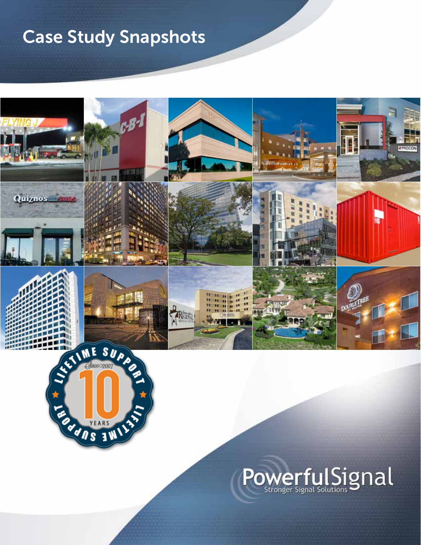### Case Study Snapshots





## PowerfulSignal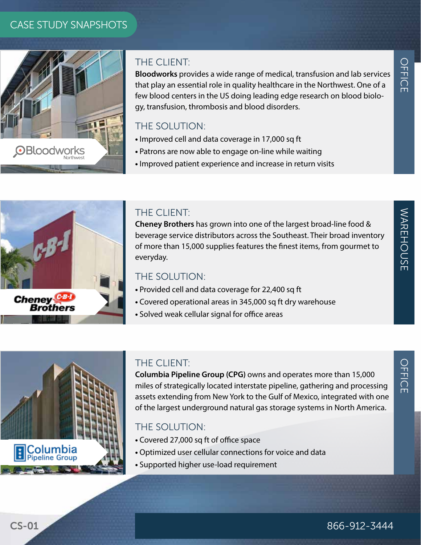

#### THE CLIENT<sup>.</sup>

**Bloodworks** provides a wide range of medical, transfusion and lab services that play an essential role in quality healthcare in the Northwest. One of a few blood centers in the US doing leading edge research on blood biology, transfusion, thrombosis and blood disorders.

#### THE SOLUTION:

- Improved cell and data coverage in 17,000 sq ft
- Patrons are now able to engage on-line while waiting
- Improved patient experience and increase in return visits



#### THE CLIENT:

**Cheney Brothers** has grown into one of the largest broad-line food & beverage service distributors across the Southeast. Their broad inventory of more than 15,000 supplies features the finest items, from gourmet to everyday.

#### THE SOLUTION:

- Provided cell and data coverage for 22,400 sq ft
- Covered operational areas in 345,000 sq ft dry warehouse
- Solved weak cellular signal for office areas



#### THE CLIENT:

**Columbia Pipeline Group (CPG)** owns and operates more than 15,000 miles of strategically located interstate pipeline, gathering and processing assets extending from New York to the Gulf of Mexico, integrated with one of the largest underground natural gas storage systems in North America.

#### THE SOLUTION:

- Covered 27,000 sq ft of office space
- Optimized user cellular connections for voice and data
- Supported higher use-load requirement

OFFICE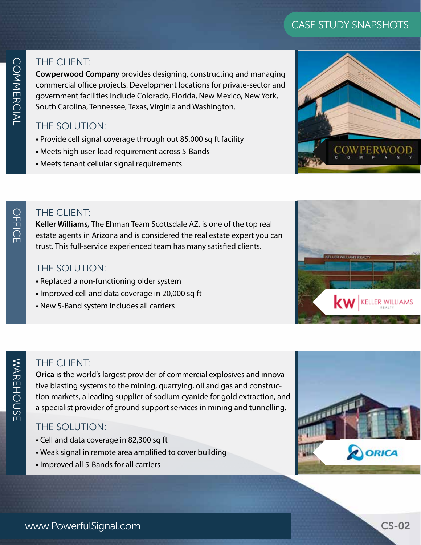### **COMMERCIAL** COMMERCIAL

#### THE CLIENT<sup>.</sup>

**Cowperwood Company** provides designing, constructing and managing commercial office projects. Development locations for private-sector and government facilities include Colorado, Florida, New Mexico, New York, South Carolina, Tennessee, Texas, Virginia and Washington.

#### THE SOLUTION:

- Provide cell signal coverage through out 85,000 sq ft facility
- Meets high user-load requirement across 5-Bands
- Meets tenant cellular signal requirements



#### THE CLIENT:

**Keller Williams,** The Ehman Team Scottsdale AZ, is one of the top real estate agents in Arizona and is considered the real estate expert you can trust. This full-service experienced team has many satisfied clients.

#### THE SOLUTION:

- Replaced a non-functioning older system
- Improved cell and data coverage in 20,000 sq ft
- New 5-Band system includes all carriers



### **WAREHOUSE** WAREHOUSE

#### THE CLIENT:

**Orica** is the world's largest provider of commercial explosives and innovative blasting systems to the mining, quarrying, oil and gas and construction markets, a leading supplier of sodium cyanide for gold extraction, and a specialist provider of ground support services in mining and tunnelling.

- Cell and data coverage in 82,300 sq ft
- Weak signal in remote area amplified to cover building
- Improved all 5-Bands for all carriers

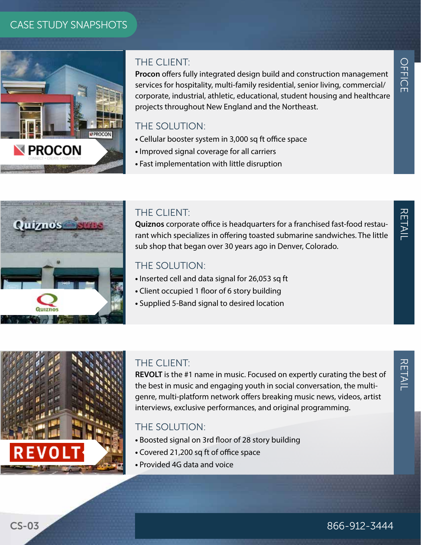

#### THE CLIENT<sup>.</sup>

**Procon** offers fully integrated design build and construction management services for hospitality, multi-family residential, senior living, commercial/ corporate, industrial, athletic, educational, student housing and healthcare projects throughout New England and the Northeast.

#### THE SOLUTION:

- Cellular booster system in 3,000 sq ft office space
- Improved signal coverage for all carriers
- Fast implementation with little disruption



#### THE CLIENT:

**Quiznos** corporate office is headquarters for a franchised fast-food restaurant which specializes in offering toasted submarine sandwiches. The little sub shop that began over 30 years ago in Denver, Colorado.

#### THE SOLUTION:

- Inserted cell and data signal for 26,053 sq ft
- Client occupied 1 floor of 6 story building
- Supplied 5-Band signal to desired location



#### THE CLIENT:

**REVOLT** is the #1 name in music. Focused on expertly curating the best of the best in music and engaging youth in social conversation, the multigenre, multi-platform network offers breaking music news, videos, artist interviews, exclusive performances, and original programming.

- Boosted signal on 3rd floor of 28 story building
- Covered 21,200 sq ft of office space
- Provided 4G data and voice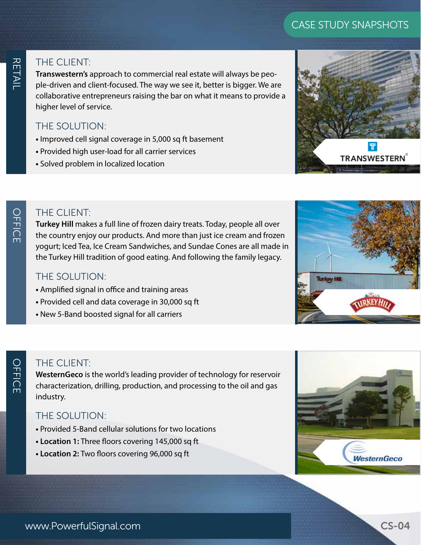## RETAIL

#### THE CLIENT<sup>.</sup>

**Transwestern's** approach to commercial real estate will always be people-driven and client-focused. The way we see it, better is bigger. We are collaborative entrepreneurs raising the bar on what it means to provide a higher level of service.

#### THE SOLUTION:

- Improved cell signal coverage in 5,000 sq ft basement
- Provided high user-load for all carrier services
- Solved problem in localized location





#### THE CLIENT:

**Turkey Hill** makes a full line of frozen dairy treats. Today, people all over the country enjoy our products. And more than just ice cream and frozen yogurt; Iced Tea, Ice Cream Sandwiches, and Sundae Cones are all made in the Turkey Hill tradition of good eating. And following the family legacy.

#### THE SOLUTION:

- Amplified signal in office and training areas
- Provided cell and data coverage in 30,000 sq ft
- New 5-Band boosted signal for all carriers



### OFFICE

#### THE CLIENT:

**WesternGeco** is the world's leading provider of technology for reservoir characterization, drilling, production, and processing to the oil and gas industry.

#### THE SOLUTION:

- Provided 5-Band cellular solutions for two locations
- **Location 1:** Three floors covering 145,000 sq ft
- **Location 2:** Two floors covering 96,000 sq ft

**WesternGeco** 

#### www.PowerfulSignal.com **CS-04**

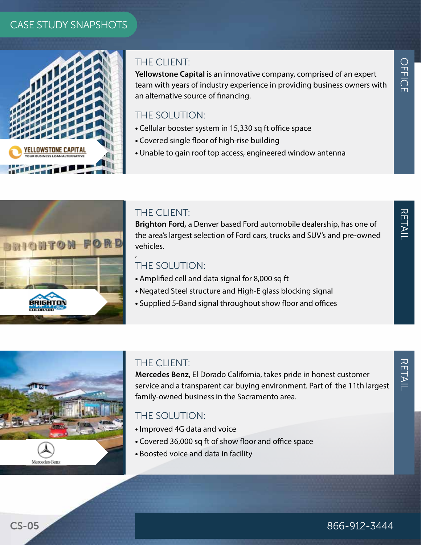

#### THE CLIENT<sup>.</sup>

**Yellowstone Capital** is an innovative company, comprised of an expert team with years of industry experience in providing business owners with an alternative source of financing.

#### THE SOLUTION:

- Cellular booster system in 15,330 sq ft office space
- Covered single floor of high-rise building
- Unable to gain roof top access, engineered window antenna



#### THE CLIENT:

**Brighton Ford,** a Denver based Ford automobile dealership, has one of the area's largest selection of Ford cars, trucks and SUV's and pre-owned vehicles. ,

#### THE SOLUTION:

- Amplified cell and data signal for 8,000 sq ft
- Negated Steel structure and High-E glass blocking signal
- Supplied 5-Band signal throughout show floor and offices



#### THE CLIENT:

**Mercedes Benz,** El Dorado California, takes pride in honest customer service and a transparent car buying environment. Part of the 11th largest family-owned business in the Sacramento area.

#### THE SOLUTION:

- Improved 4G data and voice
- Covered 36,000 sq ft of show floor and office space
- Boosted voice and data in facility

OFFICE

RETAIL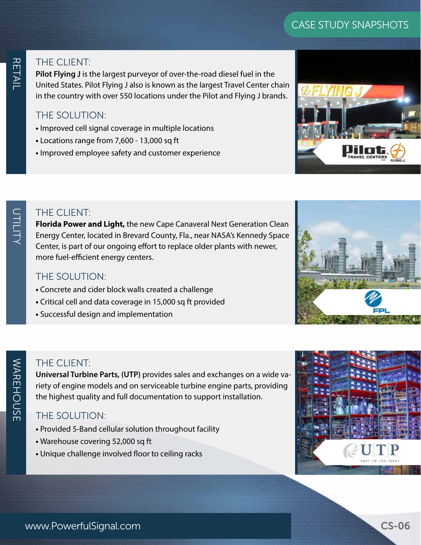## RETAIL

#### THE CLIENT<sup>.</sup>

**Pilot Flying J** is the largest purveyor of over-the-road diesel fuel in the United States. Pilot Flying J also is known as the largest Travel Center chain in the country with over 550 locations under the Pilot and Flying J brands.

#### THE SOLUTION:

- Improved cell signal coverage in multiple locations
- Locations range from 7,600 13,000 sq ft
- Improved employee safety and customer experience



#### THE CLIENT:

**Florida Power and Light,** the new Cape Canaveral Next Generation Clean Energy Center, located in Brevard County, Fla., near NASA's Kennedy Space Center, is part of our ongoing effort to replace older plants with newer, more fuel-efficient energy centers.

#### THE SOLUTION:

- Concrete and cider block walls created a challenge
- Critical cell and data coverage in 15,000 sq ft provided
- Successful design and implementation



### **WAREHOUSE** WAREHOUSE

#### THE CLIENT:

**Universal Turbine Parts, (UTP)** provides sales and exchanges on a wide variety of engine models and on serviceable turbine engine parts, providing the highest quality and full documentation to support installation.

- Provided 5-Band cellular solution throughout facility
- Warehouse covering 52,000 sq ft
- Unique challenge involved floor to ceiling racks

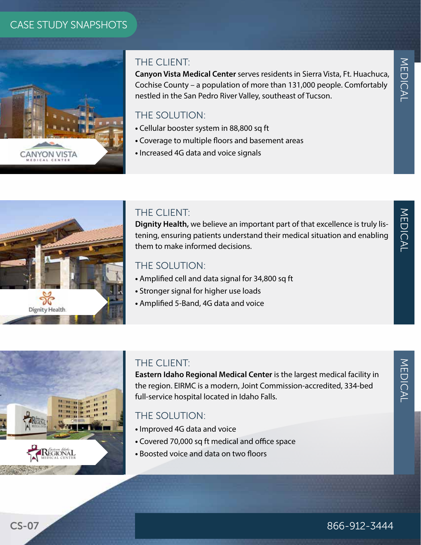

#### THE CLIENT:

**Canyon Vista Medical Center** serves residents in Sierra Vista, Ft. Huachuca, Cochise County – a population of more than 131,000 people. Comfortably nestled in the San Pedro River Valley, southeast of Tucson.

#### THE SOLUTION:

- Cellular booster system in 88,800 sq ft
- Coverage to multiple floors and basement areas
- Increased 4G data and voice signals



#### THE CLIENT:

**Dignity Health,** we believe an important part of that excellence is truly listening, ensuring patients understand their medical situation and enabling them to make informed decisions.

#### THE SOLUTION:

- Amplified cell and data signal for 34,800 sq ft
- Stronger signal for higher use loads
- Amplified 5-Band, 4G data and voice



#### THE CLIENT:

**Eastern Idaho Regional Medical Center** is the largest medical facility in the region. EIRMC is a modern, Joint Commission-accredited, 334-bed full-service hospital located in Idaho Falls.

#### THE SOLUTION:

- Improved 4G data and voice
- Covered 70,000 sq ft medical and office space
- Boosted voice and data on two floors

MEDICAL

MEDICAL

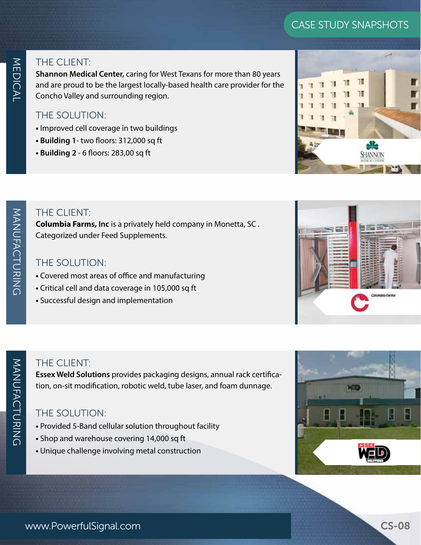### MEDICAL MEDICAL

#### THE CLIENT<sup>.</sup>

**Shannon Medical Center,** caring for West Texans for more than 80 years and are proud to be the largest locally-based health care provider for the Concho Valley and surrounding region.

#### THE SOLUTION:

- Improved cell coverage in two buildings
- **Building 1** two floors: 312,000 sq ft
- **Building 2** 6 floors: 283,00 sq ft



#### THE CLIENT:

**Columbia Farms, Inc** is a privately held company in Monetta, SC . Categorized under Feed Supplements.

#### THE SOLUTION:

- Covered most areas of office and manufacturing
- Critical cell and data coverage in 105,000 sq ft
- Successful design and implementation



# **MANUFACTURING** MANUFACTURING

#### THE CLIENT:

**Essex Weld Solutions** provides packaging designs, annual rack certification, on-sit modification, robotic weld, tube laser, and foam dunnage.

#### THE SOLUTION:

- Provided 5-Band cellular solution throughout facility
- Shop and warehouse covering 14,000 sq ft
- Unique challenge involving metal construction



#### www.PowerfulSignal.com **CS-08**

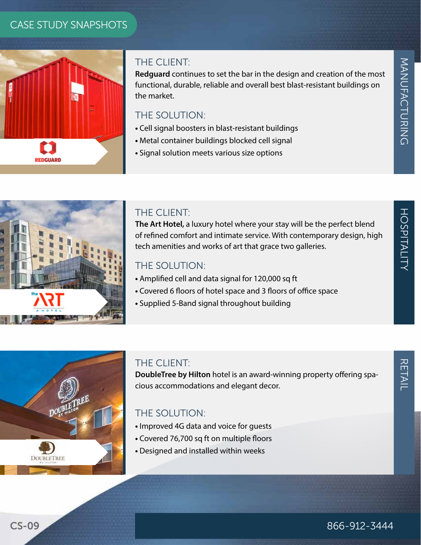

#### THE CLIENT:

**Redguard** continues to set the bar in the design and creation of the most functional, durable, reliable and overall best blast-resistant buildings on the market.

#### THE SOLUTION:

- Cell signal boosters in blast-resistant buildings
- Metal container buildings blocked cell signal
- Signal solution meets various size options



#### THE CLIENT:

**The Art Hotel,** a luxury hotel where your stay will be the perfect blend of refined comfort and intimate service. With contemporary design, high tech amenities and works of art that grace two galleries.

#### THE SOLUTION:

- Amplified cell and data signal for 120,000 sq ft
- Covered 6 floors of hotel space and 3 floors of office space
- Supplied 5-Band signal throughout building



#### THE CLIENT:

**DoubleTree by Hilton** hotel is an award-winning property offering spacious accommodations and elegant decor.

- Improved 4G data and voice for guests
- Covered 76,700 sq ft on multiple floors
- Designed and installed within weeks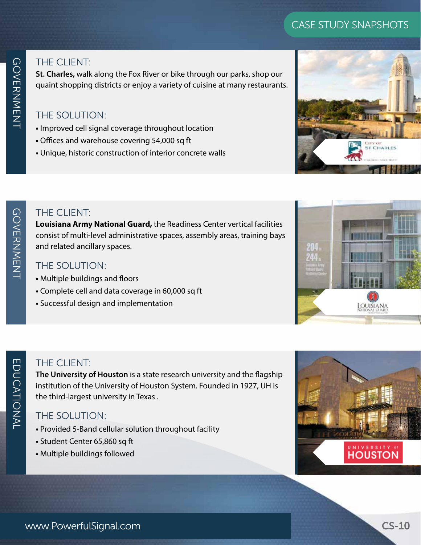#### THE CLIENT<sup>.</sup>

**St. Charles,** walk along the Fox River or bike through our parks, shop our quaint shopping districts or enjoy a variety of cuisine at many restaurants.

#### THE SOLUTION:

- Improved cell signal coverage throughout location
- Offices and warehouse covering 54,000 sq ft
- Unique, historic construction of interior concrete walls





#### THE CLIENT:

**Louisiana Army National Guard,** the Readiness Center vertical facilities consist of multi-level administrative spaces, assembly areas, training bays and related ancillary spaces.

#### THE SOLUTION:

- Multiple buildings and floors
- Complete cell and data coverage in 60,000 sq ft
- Successful design and implementation



### **EDUCATIONAL** EDUCATIONAL

#### THE CLIENT:

**The University of Houston** is a state research university and the flagship institution of the University of Houston System. Founded in 1927, UH is the third-largest university in Texas .

- Provided 5-Band cellular solution throughout facility
- Student Center 65,860 sq ft
- Multiple buildings followed